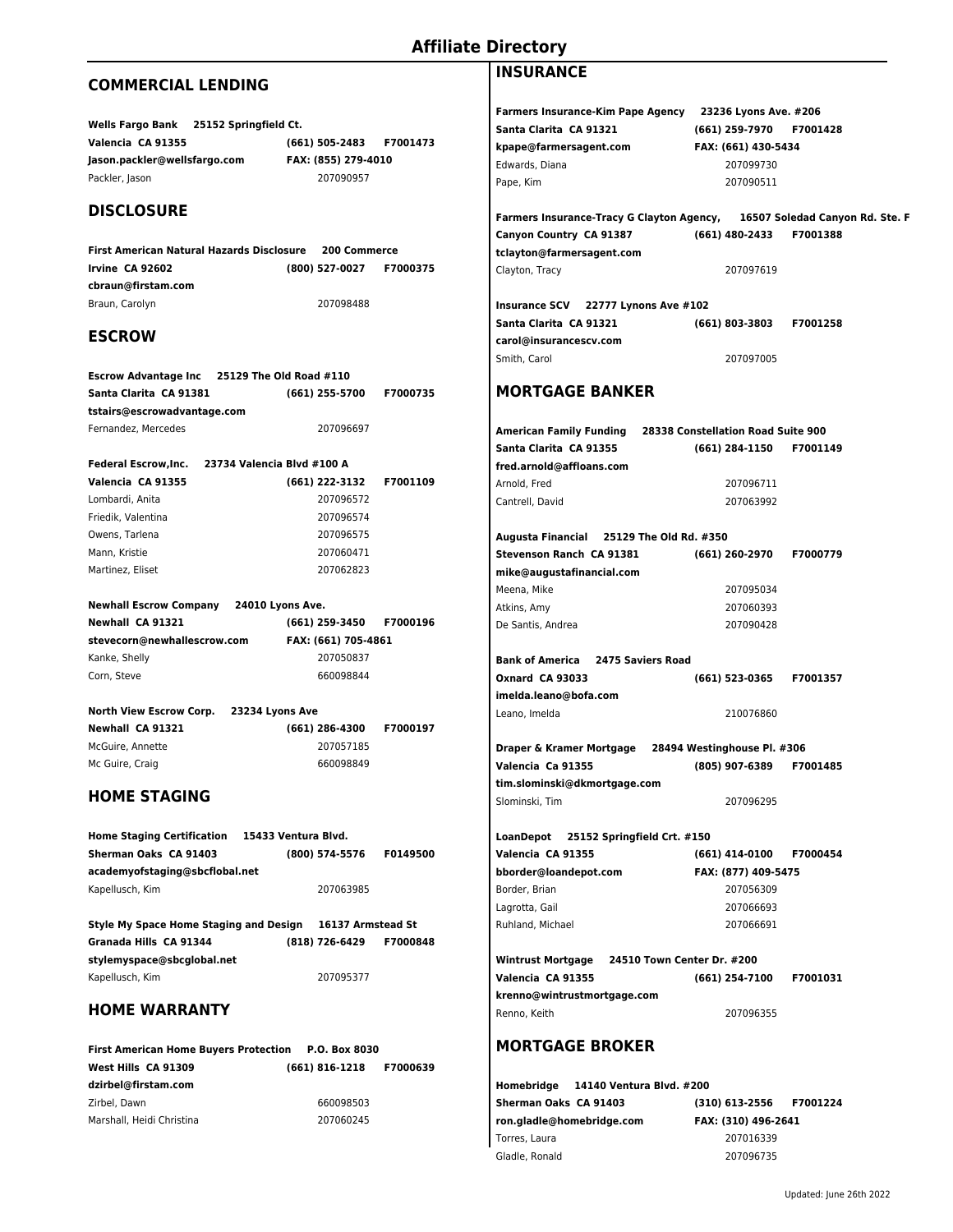# **Affiliate Directory**

## **COMMERCIAL LENDING**

| <b>Wells Fargo Bank</b><br>25152 Springfield Ct. |                     |                 |
|--------------------------------------------------|---------------------|-----------------|
| Valencia CA 91355                                | (661) 505-2483      | <b>F7001473</b> |
| Jason.packler@wellsfargo.com                     | FAX: (855) 279-4010 |                 |
| Packler, Jason                                   | 207090957           |                 |

### **DISCLOSURE**

**First American Natural Hazards Disclosure 200 Commerce Irvine CA 92602 (800) 527-0027 F7000375 cbraun@firstam.com** Braun, Carolyn 207098488

### **ESCROW**

| <b>Escrow Advantage Inc.</b> | 25129 The Old Road #110 |          |
|------------------------------|-------------------------|----------|
| Santa Clarita CA 91381       | (661) 255-5700          | F7000735 |
| tstairs@escrowadvantage.com  |                         |          |
| Fernandez, Mercedes          | 207096697               |          |

|                    | Federal Escrow, Inc. 23734 Valencia Blvd #100 A |          |
|--------------------|-------------------------------------------------|----------|
| Valencia CA 91355  | (661) 222-3132                                  | F7001109 |
| Lombardi, Anita    | 207096572                                       |          |
| Friedik, Valentina | 207096574                                       |          |
| Owens, Tarlena     | 207096575                                       |          |
| Mann. Kristie      | 207060471                                       |          |
| Martinez, Eliset   | 207062823                                       |          |

#### **Newhall Escrow Company 24010 Lyons Ave.**

| <b>Newhall CA 91321</b>     | (661) 259-3450      | <b>F7000196</b> |
|-----------------------------|---------------------|-----------------|
| stevecorn@newhallescrow.com | FAX: (661) 705-4861 |                 |
| Kanke, Shelly               | 207050837           |                 |
| Corn. Steve                 | 660098844           |                 |
|                             |                     |                 |

# **North View Escrow Corp. 23234 Lyons Ave**

| Newhall CA 91321 | (661) 286-4300 | <b>F7000197</b> |
|------------------|----------------|-----------------|
| McGuire. Annette | 207057185      |                 |
| Mc Guire, Craig  | 660098849      |                 |

### **HOME STAGING**

| <b>Home Staging Certification</b> | 15433 Ventura Blvd. |          |
|-----------------------------------|---------------------|----------|
| Sherman Oaks CA 91403             | (800) 574-5576      | F0149500 |
| academyofstaging@sbcflobal.net    |                     |          |
| Kapellusch, Kim                   | 207063985           |          |

**Style My Space Home Staging and Design 16137 Armstead St Granada Hills CA 91344 (818) 726-6429 F7000848 stylemyspace@sbcglobal.net** Kapellusch, Kim 207095377

### **HOME WARRANTY**

| First American Home Buyers Protection P.O. Box 8030 |           |  |
|-----------------------------------------------------|-----------|--|
| West Hills CA 91309                                 |           |  |
| dzirbel@firstam.com                                 |           |  |
| Zirbel. Dawn                                        | 660098503 |  |
| Marshall, Heidi Christina                           | 207060245 |  |

# **INSURANCE**

| Farmers Insurance-Kim Pape Agency 23236 Lyons Ave. #206                         |                         |                 |
|---------------------------------------------------------------------------------|-------------------------|-----------------|
| Santa Clarita CA 91321                                                          | (661) 259-7970          | F7001428        |
| kpape@farmersagent.com                                                          | FAX: (661) 430-5434     |                 |
| Edwards, Diana                                                                  | 207099730               |                 |
| Pape, Kim                                                                       | 207090511               |                 |
|                                                                                 |                         |                 |
| Farmers Insurance-Tracy G Clayton Agency,       16507 Soledad Canyon Rd. Ste. F |                         |                 |
| Canyon Country CA 91387                                                         | (661) 480-2433          | F7001388        |
| tclayton@farmersagent.com                                                       |                         |                 |
| Clayton, Tracy                                                                  | 207097619               |                 |
| Insurance SCV 22777 Lynons Ave #102                                             |                         |                 |
| Santa Clarita CA 91321                                                          | (661) 803-3803          | F7001258        |
| carol@insurancescv.com                                                          |                         |                 |
| Smith, Carol                                                                    | 207097005               |                 |
| <b>MORTGAGE BANKER</b>                                                          |                         |                 |
|                                                                                 |                         |                 |
| Santa Clarita CA 91355                                                          | (661) 284-1150          | F7001149        |
| fred.arnold@affloans.com                                                        |                         |                 |
| Arnold, Fred                                                                    | 207096711               |                 |
| Cantrell, David                                                                 | 207063992               |                 |
| Augusta Financial 25129 The Old Rd. #350                                        |                         |                 |
| Stevenson Ranch CA 91381                                                        | (661) 260-2970 F7000779 |                 |
| mike@augustafinancial.com                                                       |                         |                 |
| Meena, Mike                                                                     | 207095034               |                 |
| Atkins, Amy                                                                     | 207060393               |                 |
| De Santis, Andrea                                                               | 207090428               |                 |
| Bank of America 2475 Saviers Road                                               |                         |                 |
| Oxnard CA 93033                                                                 | (661) 523-0365          | F7001357        |
| imelda.leano@bofa.com                                                           |                         |                 |
| Leano, Imelda                                                                   | 210076860               |                 |
| Draper & Kramer Mortgage 28494 Westinghouse Pl. #306                            |                         |                 |
| Valencia Ca 91355                                                               | (805) 907-6389          | F7001485        |
| tim.slominski@dkmortgage.com                                                    |                         |                 |
| Slominski, Tim                                                                  | 207096295               |                 |
| LoanDepot 25152 Springfield Crt. #150                                           |                         |                 |
| Valencia CA 91355                                                               | (661) 414-0100          | F7000454        |
| bborder@loandepot.com                                                           | FAX: (877) 409-5475     |                 |
| Border, Brian                                                                   | 207056309               |                 |
| Lagrotta, Gail                                                                  | 207066693               |                 |
| Ruhland, Michael                                                                | 207066691               |                 |
|                                                                                 |                         |                 |
| Valencia CA 91355                                                               | (661) 254-7100          | <b>F7001031</b> |
| krenno@wintrustmortgage.com                                                     |                         |                 |
| Renno, Keith                                                                    | 207096355               |                 |
| <b>MORTGAGE BROKER</b>                                                          |                         |                 |
| Homebridge      14140 Ventura Blvd. #200                                        |                         |                 |

|                           | Homebridge      14140 Ventura Blvd. #200 |                     |          |
|---------------------------|------------------------------------------|---------------------|----------|
| Sherman Oaks  CA 91403    |                                          | (310) 613-2556      | F7001224 |
| ron.gladle@homebridge.com |                                          | FAX: (310) 496-2641 |          |
| Torres, Laura             |                                          | 207016339           |          |
| Gladle, Ronald            |                                          | 207096735           |          |